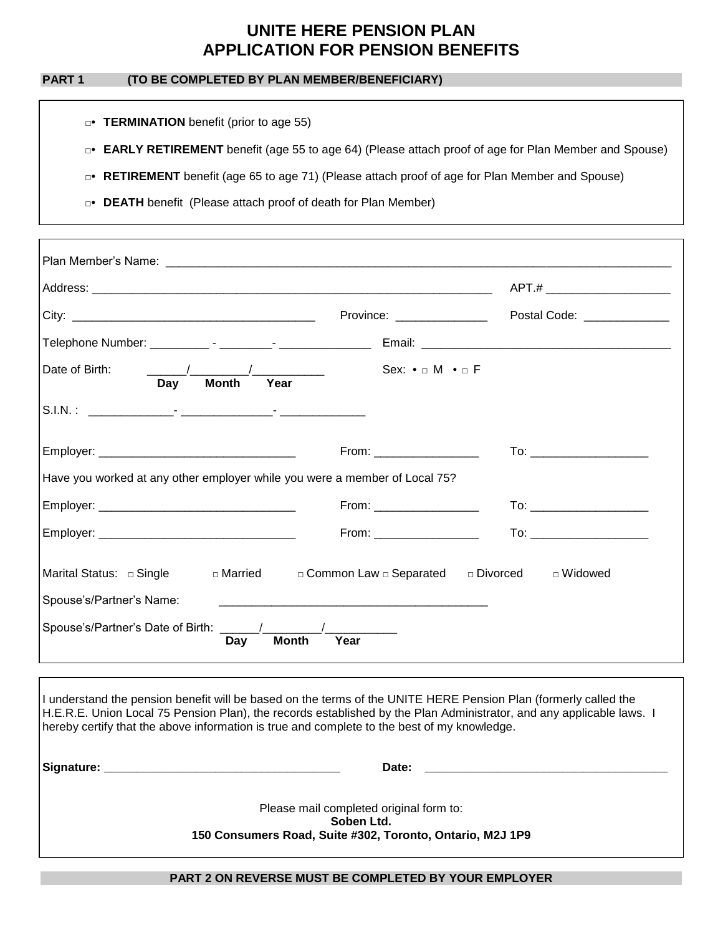# **UNITE HERE PENSION PLAN APPLICATION FOR PENSION BENEFITS**

### **PART 1 (TO BE COMPLETED BY PLAN MEMBER/BENEFICIARY)**

- □• **TERMINATION** benefit (prior to age 55)
- □• **EARLY RETIREMENT** benefit (age 55 to age 64) (Please attach proof of age for Plan Member and Spouse)
- □• **RETIREMENT** benefit (age 65 to age 71) (Please attach proof of age for Plan Member and Spouse)
- □• **DEATH** benefit (Please attach proof of death for Plan Member)

|                       |                                                                                               |                                                                            | APT.# ________________________                                |
|-----------------------|-----------------------------------------------------------------------------------------------|----------------------------------------------------------------------------|---------------------------------------------------------------|
|                       |                                                                                               | <b>Province:</b> Province:                                                 | Postal Code: ______________                                   |
|                       |                                                                                               |                                                                            |                                                               |
| Date of Birth:<br>Day | $\frac{1}{\sqrt{1-\frac{1}{2}}}\left( \frac{1}{\sqrt{1-\frac{1}{2}}}\right)$<br>Month<br>Year | Sex: $\bullet$ $\Box$ M $\bullet$ $\Box$ F                                 |                                                               |
|                       |                                                                                               |                                                                            |                                                               |
|                       |                                                                                               | $From: ____________$                                                       |                                                               |
|                       |                                                                                               | Have you worked at any other employer while you were a member of Local 75? |                                                               |
|                       |                                                                                               |                                                                            |                                                               |
|                       |                                                                                               |                                                                            |                                                               |
|                       |                                                                                               | From: ___________________                                                  | To: ________________________<br>To: _________________________ |
|                       | □ Married                                                                                     | □ Common Law □ Separated                                                   | □ Divorced<br>□ Widowed                                       |

I understand the pension benefit will be based on the terms of the UNITE HERE Pension Plan (formerly called the H.E.R.E. Union Local 75 Pension Plan), the records established by the Plan Administrator, and any applicable laws. I hereby certify that the above information is true and complete to the best of my knowledge. **Signature: \_\_\_\_\_\_\_\_\_\_\_\_\_\_\_\_\_\_\_\_\_\_\_\_\_\_\_\_\_\_\_\_\_\_\_\_ Date: \_\_\_\_\_\_\_\_\_\_\_\_\_\_\_\_\_\_\_\_\_\_\_\_\_\_\_\_\_\_\_\_\_\_\_\_\_** Please mail completed original form to:

**Soben Ltd. 150 Consumers Road, Suite #302, Toronto, Ontario, M2J 1P9**

#### **PART 2 ON REVERSE MUST BE COMPLETED BY YOUR EMPLOYER**